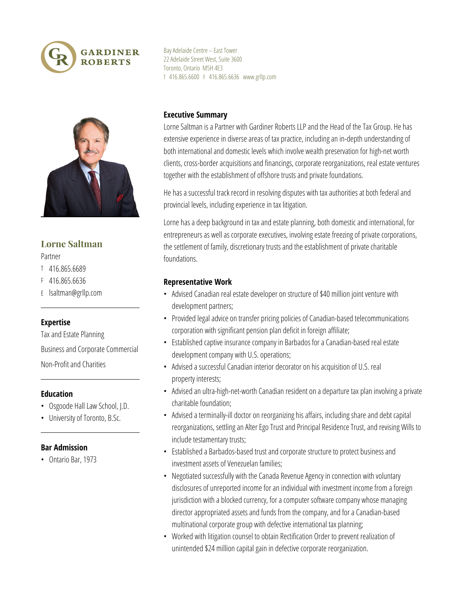



# **Lorne Saltman**

#### Partner

- T 416.865.6689
- F 416.865.6636
- E lsaltman@grllp.com

## **Expertise**

Tax and Estate Planning Business and Corporate Commercial Non‑Profit and Charities

## **Education**

- Osgoode Hall Law School, J.D.
- University of Toronto, B.Sc.

## **Bar Admission**

• Ontario Bar, 1973

Bay Adelaide Centre – East Tower 22 Adelaide Street West, Suite 3600 Toronto, Ontario M5H 4E3 T 416.865.6600 F 416.865.6636 www.grllp.com

## **Executive Summary**

Lorne Saltman is a Partner with Gardiner Roberts LLP and the Head of the Tax Group. He has extensive experience in diverse areas of tax practice, including an in‑depth understanding of both international and domestic levels which involve wealth preservation for high-net worth clients, cross‑border acquisitions and financings, corporate reorganizations, real estate ventures together with the establishment of offshore trusts and private foundations.

He has a successful track record in resolving disputes with tax authorities at both federal and provincial levels, including experience in tax litigation.

Lorne has a deep background in tax and estate planning, both domestic and international, for entrepreneurs as well as corporate executives, involving estate freezing of private corporations, the settlement of family, discretionary trusts and the establishment of private charitable foundations.

## **Representative Work**

- Advised Canadian real estate developer on structure of \$40 million joint venture with development partners;
- Provided legal advice on transfer pricing policies of Canadian-based telecommunications corporation with significant pension plan deficit in foreign affiliate;
- Established captive insurance company in Barbados for a Canadian-based real estate development company with U.S. operations;
- Advised a successful Canadian interior decorator on his acquisition of U.S. real property interests;
- Advised an ultra-high-net-worth Canadian resident on a departure tax plan involving a private charitable foundation;
- Advised a terminally-ill doctor on reorganizing his affairs, including share and debt capital reorganizations, settling an Alter Ego Trust and Principal Residence Trust, and revising Wills to include testamentary trusts;
- Established a Barbados-based trust and corporate structure to protect business and investment assets of Venezuelan families;
- Negotiated successfully with the Canada Revenue Agency in connection with voluntary disclosures of unreported income for an individual with investment income from a foreign jurisdiction with a blocked currency, for a computer software company whose managing director appropriated assets and funds from the company, and for a Canadian-based multinational corporate group with defective international tax planning;
- Worked with litigation counsel to obtain Rectification Order to prevent realization of unintended \$24 million capital gain in defective corporate reorganization.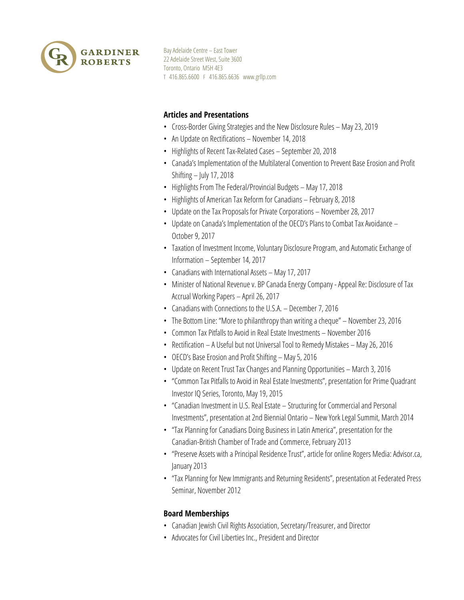

Bay Adelaide Centre – East Tower 22 Adelaide Street West, Suite 3600 Toronto, Ontario M5H 4E3 T 416.865.6600 F 416.865.6636 www.grllp.com

## **Articles and Presentations**

- Cross-Border Giving Strategies and the New Disclosure Rules May 23, 2019
- An Update on Rectifications November 14, 2018
- Highlights of Recent Tax-Related Cases September 20, 2018
- Canada's Implementation of the Multilateral Convention to Prevent Base Erosion and Profit Shifting – July 17, 2018
- Highlights From The Federal/Provincial Budgets May 17, 2018
- Highlights of American Tax Reform for Canadians February 8, 2018
- Update on the Tax Proposals for Private Corporations November 28, 2017
- Update on Canada's Implementation of the OECD's Plans to Combat Tax Avoidance October 9, 2017
- Taxation of Investment Income, Voluntary Disclosure Program, and Automatic Exchange of Information – September 14, 2017
- Canadians with International Assets May 17, 2017
- Minister of National Revenue v. BP Canada Energy Company Appeal Re: Disclosure of Tax Accrual Working Papers – April 26, 2017
- Canadians with Connections to the U.S.A. December 7, 2016
- The Bottom Line: "More to philanthropy than writing a cheque" November 23, 2016
- Common Tax Pitfalls to Avoid in Real Estate Investments November 2016
- Rectification A Useful but not Universal Tool to Remedy Mistakes May 26, 2016
- OECD's Base Erosion and Profit Shifting May 5, 2016
- Update on Recent Trust Tax Changes and Planning Opportunities March 3, 2016
- "Common Tax Pitfalls to Avoid in Real Estate Investments", presentation for Prime Quadrant Investor IQ Series, Toronto, May 19, 2015
- "Canadian Investment in U.S. Real Estate Structuring for Commercial and Personal Investments", presentation at 2nd Biennial Ontario – New York Legal Summit, March 2014
- "Tax Planning for Canadians Doing Business in Latin America", presentation for the Canadian‑British Chamber of Trade and Commerce, February 2013
- "Preserve Assets with a Principal Residence Trust", article for online Rogers Media: Advisor.ca, January 2013
- "Tax Planning for New Immigrants and Returning Residents", presentation at Federated Press Seminar, November 2012

## **Board Memberships**

- Canadian Jewish Civil Rights Association, Secretary/Treasurer, and Director
- Advocates for Civil Liberties Inc., President and Director